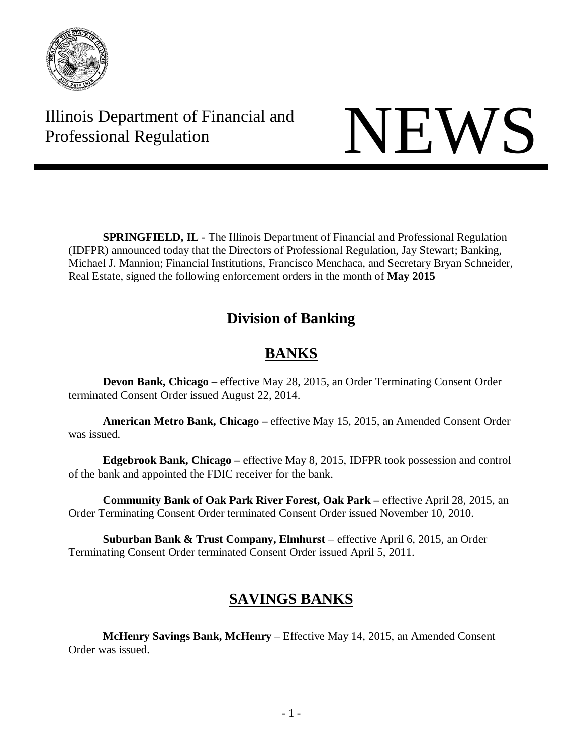

Illinois Department of Financial and THE Professional Regulation NEWS

**SPRINGFIELD, IL** - The Illinois Department of Financial and Professional Regulation (IDFPR) announced today that the Directors of Professional Regulation, Jay Stewart; Banking, Michael J. Mannion; Financial Institutions, Francisco Menchaca, and Secretary Bryan Schneider, Real Estate, signed the following enforcement orders in the month of **May 2015**

## **Division of Banking**

# **BANKS**

**Devon Bank, Chicago** – effective May 28, 2015, an Order Terminating Consent Order terminated Consent Order issued August 22, 2014.

**American Metro Bank, Chicago –** effective May 15, 2015, an Amended Consent Order was issued.

**Edgebrook Bank, Chicago –** effective May 8, 2015, IDFPR took possession and control of the bank and appointed the FDIC receiver for the bank.

**Community Bank of Oak Park River Forest, Oak Park –** effective April 28, 2015, an Order Terminating Consent Order terminated Consent Order issued November 10, 2010.

**Suburban Bank & Trust Company, Elmhurst** – effective April 6, 2015, an Order Terminating Consent Order terminated Consent Order issued April 5, 2011.

## **SAVINGS BANKS**

**McHenry Savings Bank, McHenry** – Effective May 14, 2015, an Amended Consent Order was issued.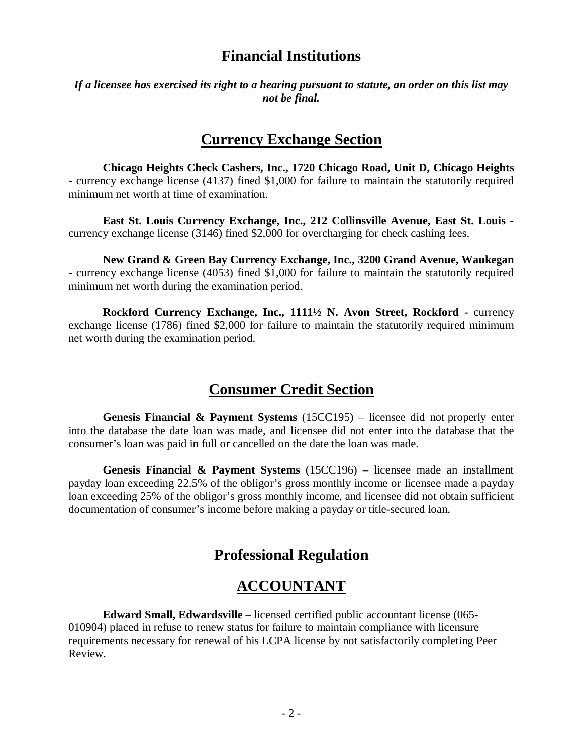#### **Financial Institutions**

*If a licensee has exercised its right to a hearing pursuant to statute, an order on this list may not be final.* 

#### **Currency Exchange Section**

**Chicago Heights Check Cashers, Inc., 1720 Chicago Road, Unit D, Chicago Heights -** currency exchange license (4137) fined \$1,000 for failure to maintain the statutorily required minimum net worth at time of examination.

**East St. Louis Currency Exchange, Inc., 212 Collinsville Avenue, East St. Louis**  currency exchange license (3146) fined \$2,000 for overcharging for check cashing fees.

**New Grand & Green Bay Currency Exchange, Inc., 3200 Grand Avenue, Waukegan -** currency exchange license (4053) fined \$1,000 for failure to maintain the statutorily required minimum net worth during the examination period.

**Rockford Currency Exchange, Inc., 1111½ N. Avon Street, Rockford -** currency exchange license (1786) fined \$2,000 for failure to maintain the statutorily required minimum net worth during the examination period.

#### **Consumer Credit Section**

**Genesis Financial & Payment Systems** (15CC195) – licensee did not properly enter into the database the date loan was made, and licensee did not enter into the database that the consumer's loan was paid in full or cancelled on the date the loan was made.

**Genesis Financial & Payment Systems** (15CC196) – licensee made an installment payday loan exceeding 22.5% of the obligor's gross monthly income or licensee made a payday loan exceeding 25% of the obligor's gross monthly income, and licensee did not obtain sufficient documentation of consumer's income before making a payday or title-secured loan.

#### **Professional Regulation**

#### **ACCOUNTANT**

**Edward Small, Edwardsville** – licensed certified public accountant license (065- 010904) placed in refuse to renew status for failure to maintain compliance with licensure requirements necessary for renewal of his LCPA license by not satisfactorily completing Peer Review.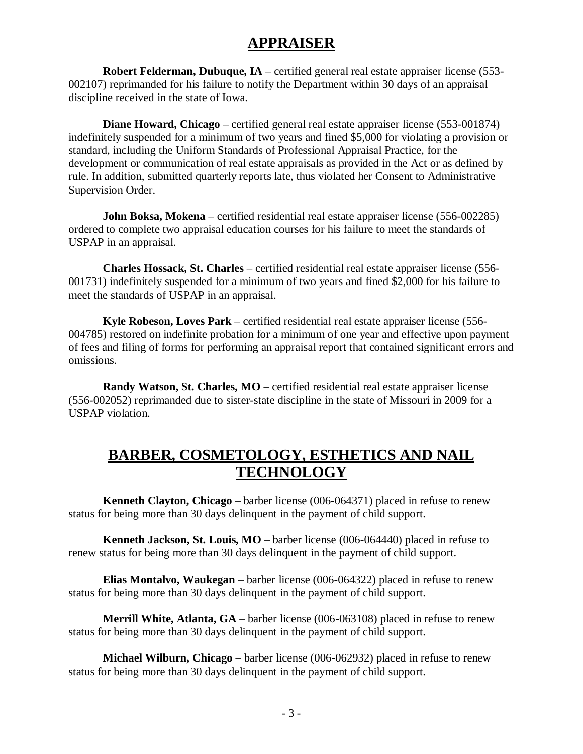### **APPRAISER**

**Robert Felderman, Dubuque, IA** – certified general real estate appraiser license (553- 002107) reprimanded for his failure to notify the Department within 30 days of an appraisal discipline received in the state of Iowa.

**Diane Howard, Chicago** – certified general real estate appraiser license (553-001874) indefinitely suspended for a minimum of two years and fined \$5,000 for violating a provision or standard, including the Uniform Standards of Professional Appraisal Practice, for the development or communication of real estate appraisals as provided in the Act or as defined by rule. In addition, submitted quarterly reports late, thus violated her Consent to Administrative Supervision Order.

**John Boksa, Mokena** – certified residential real estate appraiser license (556-002285) ordered to complete two appraisal education courses for his failure to meet the standards of USPAP in an appraisal.

**Charles Hossack, St. Charles** – certified residential real estate appraiser license (556- 001731) indefinitely suspended for a minimum of two years and fined \$2,000 for his failure to meet the standards of USPAP in an appraisal.

**Kyle Robeson, Loves Park** – certified residential real estate appraiser license (556- 004785) restored on indefinite probation for a minimum of one year and effective upon payment of fees and filing of forms for performing an appraisal report that contained significant errors and omissions.

**Randy Watson, St. Charles, MO** – certified residential real estate appraiser license (556-002052) reprimanded due to sister-state discipline in the state of Missouri in 2009 for a USPAP violation.

#### **BARBER, COSMETOLOGY, ESTHETICS AND NAIL TECHNOLOGY**

**Kenneth Clayton, Chicago** – barber license (006-064371) placed in refuse to renew status for being more than 30 days delinquent in the payment of child support.

**Kenneth Jackson, St. Louis, MO** – barber license (006-064440) placed in refuse to renew status for being more than 30 days delinquent in the payment of child support.

**Elias Montalvo, Waukegan** – barber license (006-064322) placed in refuse to renew status for being more than 30 days delinquent in the payment of child support.

**Merrill White, Atlanta, GA** – barber license (006-063108) placed in refuse to renew status for being more than 30 days delinquent in the payment of child support.

**Michael Wilburn, Chicago** – barber license (006-062932) placed in refuse to renew status for being more than 30 days delinquent in the payment of child support.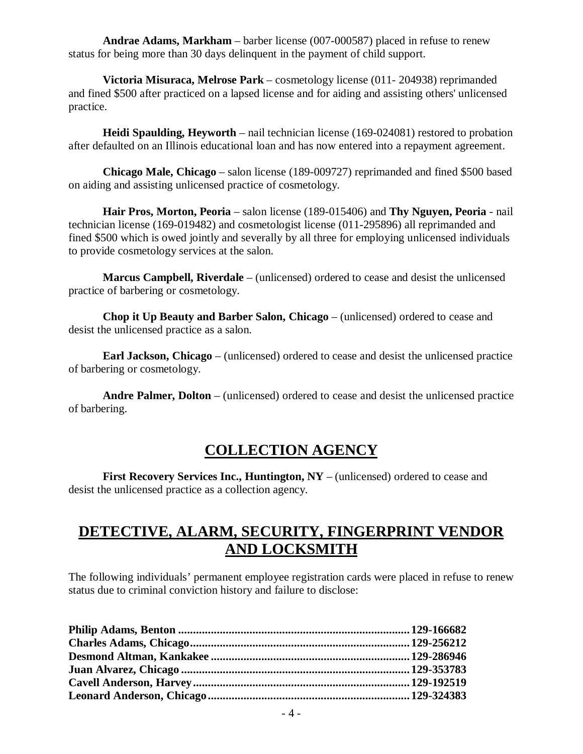**Andrae Adams, Markham** – barber license (007-000587) placed in refuse to renew status for being more than 30 days delinquent in the payment of child support.

**Victoria Misuraca, Melrose Park** – cosmetology license (011- 204938) reprimanded and fined \$500 after practiced on a lapsed license and for aiding and assisting others' unlicensed practice.

**Heidi Spaulding, Heyworth** – nail technician license (169-024081) restored to probation after defaulted on an Illinois educational loan and has now entered into a repayment agreement.

**Chicago Male, Chicago** – salon license (189-009727) reprimanded and fined \$500 based on aiding and assisting unlicensed practice of cosmetology.

**Hair Pros, Morton, Peoria** – salon license (189-015406) and **Thy Nguyen, Peoria** - nail technician license (169-019482) and cosmetologist license (011-295896) all reprimanded and fined \$500 which is owed jointly and severally by all three for employing unlicensed individuals to provide cosmetology services at the salon.

**Marcus Campbell, Riverdale** – (unlicensed) ordered to cease and desist the unlicensed practice of barbering or cosmetology.

**Chop it Up Beauty and Barber Salon, Chicago** – (unlicensed) ordered to cease and desist the unlicensed practice as a salon.

**Earl Jackson, Chicago** – (unlicensed) ordered to cease and desist the unlicensed practice of barbering or cosmetology.

**Andre Palmer, Dolton** – (unlicensed) ordered to cease and desist the unlicensed practice of barbering.

#### **COLLECTION AGENCY**

**First Recovery Services Inc., Huntington, NY** – (unlicensed) ordered to cease and desist the unlicensed practice as a collection agency.

### **DETECTIVE, ALARM, SECURITY, FINGERPRINT VENDOR AND LOCKSMITH**

The following individuals' permanent employee registration cards were placed in refuse to renew status due to criminal conviction history and failure to disclose: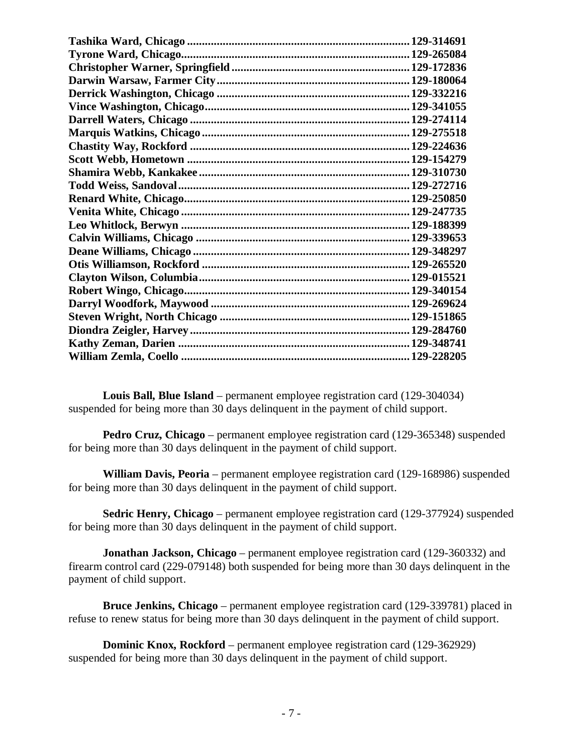| .129-228205 |
|-------------|

**Louis Ball, Blue Island** – permanent employee registration card (129-304034) suspended for being more than 30 days delinquent in the payment of child support.

**Pedro Cruz, Chicago** – permanent employee registration card (129-365348) suspended for being more than 30 days delinquent in the payment of child support.

**William Davis, Peoria** – permanent employee registration card (129-168986) suspended for being more than 30 days delinquent in the payment of child support.

**Sedric Henry, Chicago** – permanent employee registration card (129-377924) suspended for being more than 30 days delinquent in the payment of child support.

**Jonathan Jackson, Chicago** – permanent employee registration card (129-360332) and firearm control card (229-079148) both suspended for being more than 30 days delinquent in the payment of child support.

**Bruce Jenkins, Chicago** – permanent employee registration card (129-339781) placed in refuse to renew status for being more than 30 days delinquent in the payment of child support.

**Dominic Knox, Rockford** – permanent employee registration card (129-362929) suspended for being more than 30 days delinquent in the payment of child support.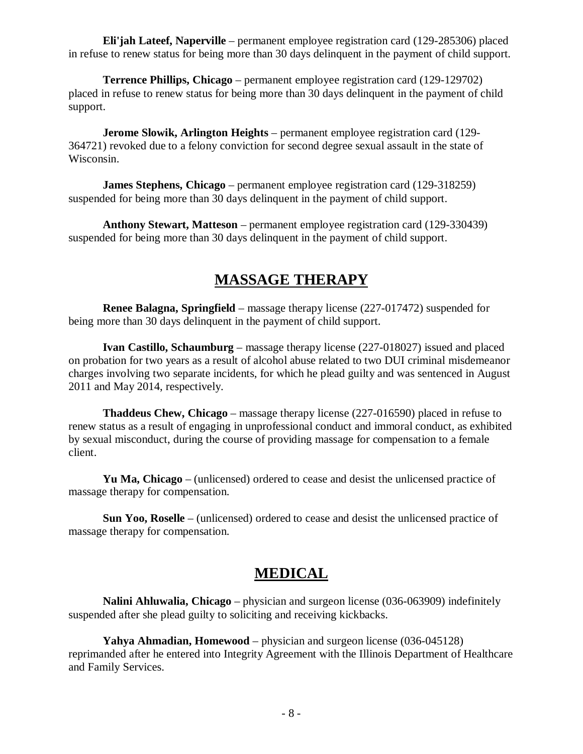**Eli'jah Lateef, Naperville** – permanent employee registration card (129-285306) placed in refuse to renew status for being more than 30 days delinquent in the payment of child support.

**Terrence Phillips, Chicago** – permanent employee registration card (129-129702) placed in refuse to renew status for being more than 30 days delinquent in the payment of child support.

**Jerome Slowik, Arlington Heights** – permanent employee registration card (129- 364721) revoked due to a felony conviction for second degree sexual assault in the state of Wisconsin.

**James Stephens, Chicago** – permanent employee registration card (129-318259) suspended for being more than 30 days delinquent in the payment of child support.

**Anthony Stewart, Matteson** – permanent employee registration card (129-330439) suspended for being more than 30 days delinquent in the payment of child support.

#### **MASSAGE THERAPY**

**Renee Balagna, Springfield** – massage therapy license (227-017472) suspended for being more than 30 days delinquent in the payment of child support.

**Ivan Castillo, Schaumburg** – massage therapy license (227-018027) issued and placed on probation for two years as a result of alcohol abuse related to two DUI criminal misdemeanor charges involving two separate incidents, for which he plead guilty and was sentenced in August 2011 and May 2014, respectively.

**Thaddeus Chew, Chicago** – massage therapy license (227-016590) placed in refuse to renew status as a result of engaging in unprofessional conduct and immoral conduct, as exhibited by sexual misconduct, during the course of providing massage for compensation to a female client.

**Yu Ma, Chicago** – (unlicensed) ordered to cease and desist the unlicensed practice of massage therapy for compensation.

**Sun Yoo, Roselle** – (unlicensed) ordered to cease and desist the unlicensed practice of massage therapy for compensation.

#### **MEDICAL**

**Nalini Ahluwalia, Chicago** – physician and surgeon license (036-063909) indefinitely suspended after she plead guilty to soliciting and receiving kickbacks.

**Yahya Ahmadian, Homewood** – physician and surgeon license (036-045128) reprimanded after he entered into Integrity Agreement with the Illinois Department of Healthcare and Family Services.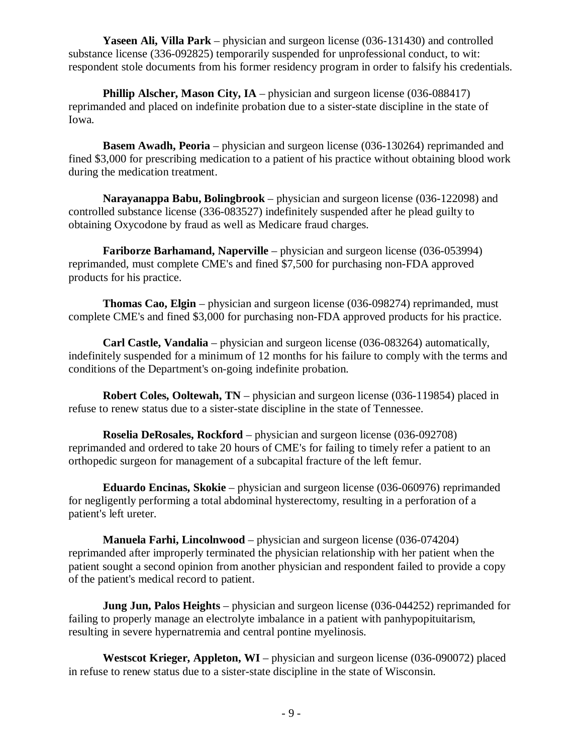**Yaseen Ali, Villa Park** – physician and surgeon license (036-131430) and controlled substance license (336-092825) temporarily suspended for unprofessional conduct, to wit: respondent stole documents from his former residency program in order to falsify his credentials.

**Phillip Alscher, Mason City, IA** – physician and surgeon license (036-088417) reprimanded and placed on indefinite probation due to a sister-state discipline in the state of Iowa.

**Basem Awadh, Peoria** – physician and surgeon license (036-130264) reprimanded and fined \$3,000 for prescribing medication to a patient of his practice without obtaining blood work during the medication treatment.

**Narayanappa Babu, Bolingbrook** – physician and surgeon license (036-122098) and controlled substance license (336-083527) indefinitely suspended after he plead guilty to obtaining Oxycodone by fraud as well as Medicare fraud charges.

**Fariborze Barhamand, Naperville** – physician and surgeon license (036-053994) reprimanded, must complete CME's and fined \$7,500 for purchasing non-FDA approved products for his practice.

**Thomas Cao, Elgin** – physician and surgeon license (036-098274) reprimanded, must complete CME's and fined \$3,000 for purchasing non-FDA approved products for his practice.

**Carl Castle, Vandalia** – physician and surgeon license (036-083264) automatically, indefinitely suspended for a minimum of 12 months for his failure to comply with the terms and conditions of the Department's on-going indefinite probation.

**Robert Coles, Ooltewah, TN** – physician and surgeon license (036-119854) placed in refuse to renew status due to a sister-state discipline in the state of Tennessee.

**Roselia DeRosales, Rockford** – physician and surgeon license (036-092708) reprimanded and ordered to take 20 hours of CME's for failing to timely refer a patient to an orthopedic surgeon for management of a subcapital fracture of the left femur.

**Eduardo Encinas, Skokie** – physician and surgeon license (036-060976) reprimanded for negligently performing a total abdominal hysterectomy, resulting in a perforation of a patient's left ureter.

**Manuela Farhi, Lincolnwood** – physician and surgeon license (036-074204) reprimanded after improperly terminated the physician relationship with her patient when the patient sought a second opinion from another physician and respondent failed to provide a copy of the patient's medical record to patient.

**Jung Jun, Palos Heights** – physician and surgeon license (036-044252) reprimanded for failing to properly manage an electrolyte imbalance in a patient with panhypopituitarism, resulting in severe hypernatremia and central pontine myelinosis.

**Westscot Krieger, Appleton, WI** – physician and surgeon license (036-090072) placed in refuse to renew status due to a sister-state discipline in the state of Wisconsin.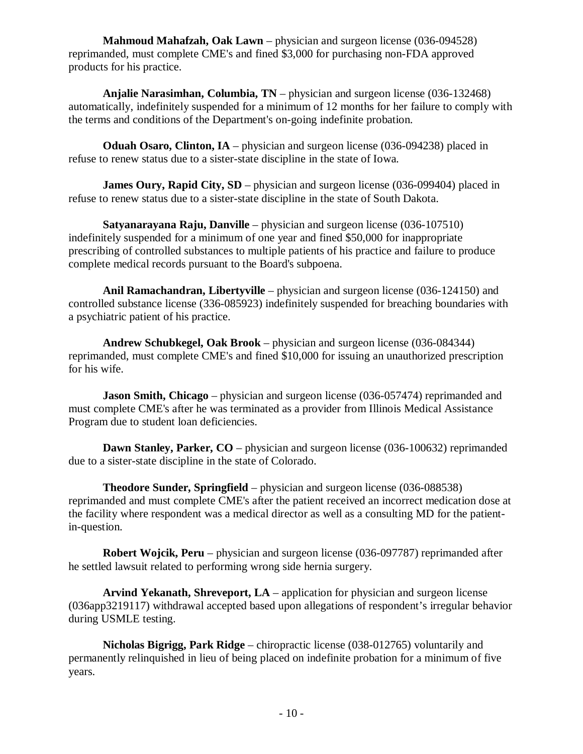**Mahmoud Mahafzah, Oak Lawn** – physician and surgeon license (036-094528) reprimanded, must complete CME's and fined \$3,000 for purchasing non-FDA approved products for his practice.

**Anjalie Narasimhan, Columbia, TN** – physician and surgeon license (036-132468) automatically, indefinitely suspended for a minimum of 12 months for her failure to comply with the terms and conditions of the Department's on-going indefinite probation.

**Oduah Osaro, Clinton, IA** – physician and surgeon license (036-094238) placed in refuse to renew status due to a sister-state discipline in the state of Iowa.

**James Oury, Rapid City, SD** – physician and surgeon license (036-099404) placed in refuse to renew status due to a sister-state discipline in the state of South Dakota.

**Satyanarayana Raju, Danville** – physician and surgeon license (036-107510) indefinitely suspended for a minimum of one year and fined \$50,000 for inappropriate prescribing of controlled substances to multiple patients of his practice and failure to produce complete medical records pursuant to the Board's subpoena.

**Anil Ramachandran, Libertyville** – physician and surgeon license (036-124150) and controlled substance license (336-085923) indefinitely suspended for breaching boundaries with a psychiatric patient of his practice.

**Andrew Schubkegel, Oak Brook** – physician and surgeon license (036-084344) reprimanded, must complete CME's and fined \$10,000 for issuing an unauthorized prescription for his wife.

**Jason Smith, Chicago** – physician and surgeon license (036-057474) reprimanded and must complete CME's after he was terminated as a provider from Illinois Medical Assistance Program due to student loan deficiencies.

**Dawn Stanley, Parker, CO** – physician and surgeon license (036-100632) reprimanded due to a sister-state discipline in the state of Colorado.

**Theodore Sunder, Springfield** – physician and surgeon license (036-088538) reprimanded and must complete CME's after the patient received an incorrect medication dose at the facility where respondent was a medical director as well as a consulting MD for the patientin-question.

**Robert Wojcik, Peru** – physician and surgeon license (036-097787) reprimanded after he settled lawsuit related to performing wrong side hernia surgery.

**Arvind Yekanath, Shreveport, LA** – application for physician and surgeon license (036app3219117) withdrawal accepted based upon allegations of respondent's irregular behavior during USMLE testing.

**Nicholas Bigrigg, Park Ridge** – chiropractic license (038-012765) voluntarily and permanently relinquished in lieu of being placed on indefinite probation for a minimum of five years.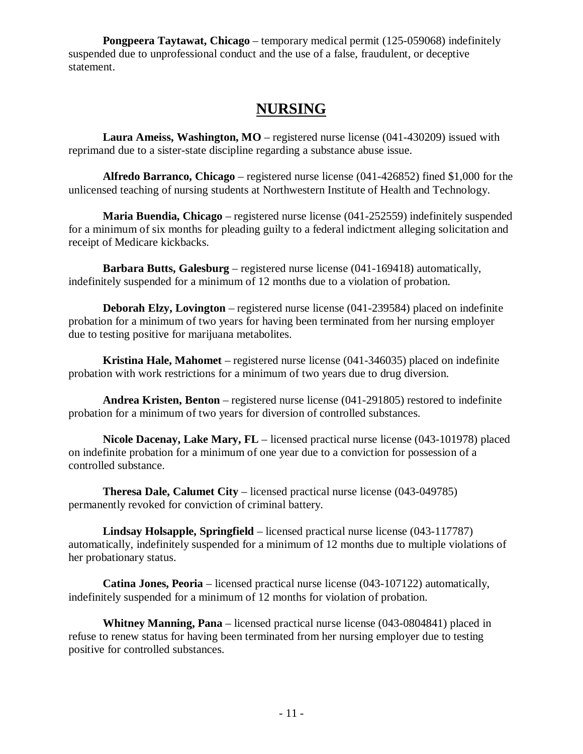**Pongpeera Taytawat, Chicago** – temporary medical permit (125-059068) indefinitely suspended due to unprofessional conduct and the use of a false, fraudulent, or deceptive statement.

## **NURSING**

**Laura Ameiss, Washington, MO** – registered nurse license (041-430209) issued with reprimand due to a sister-state discipline regarding a substance abuse issue.

**Alfredo Barranco, Chicago** – registered nurse license (041-426852) fined \$1,000 for the unlicensed teaching of nursing students at Northwestern Institute of Health and Technology.

**Maria Buendia, Chicago** – registered nurse license (041-252559) indefinitely suspended for a minimum of six months for pleading guilty to a federal indictment alleging solicitation and receipt of Medicare kickbacks.

**Barbara Butts, Galesburg** – registered nurse license (041-169418) automatically, indefinitely suspended for a minimum of 12 months due to a violation of probation.

**Deborah Elzy, Lovington** – registered nurse license (041-239584) placed on indefinite probation for a minimum of two years for having been terminated from her nursing employer due to testing positive for marijuana metabolites.

**Kristina Hale, Mahomet** – registered nurse license (041-346035) placed on indefinite probation with work restrictions for a minimum of two years due to drug diversion.

**Andrea Kristen, Benton** – registered nurse license (041-291805) restored to indefinite probation for a minimum of two years for diversion of controlled substances.

**Nicole Dacenay, Lake Mary, FL** – licensed practical nurse license (043-101978) placed on indefinite probation for a minimum of one year due to a conviction for possession of a controlled substance.

**Theresa Dale, Calumet City** – licensed practical nurse license (043-049785) permanently revoked for conviction of criminal battery.

**Lindsay Holsapple, Springfield** – licensed practical nurse license (043-117787) automatically, indefinitely suspended for a minimum of 12 months due to multiple violations of her probationary status.

**Catina Jones, Peoria** – licensed practical nurse license (043-107122) automatically, indefinitely suspended for a minimum of 12 months for violation of probation.

**Whitney Manning, Pana** – licensed practical nurse license (043-0804841) placed in refuse to renew status for having been terminated from her nursing employer due to testing positive for controlled substances.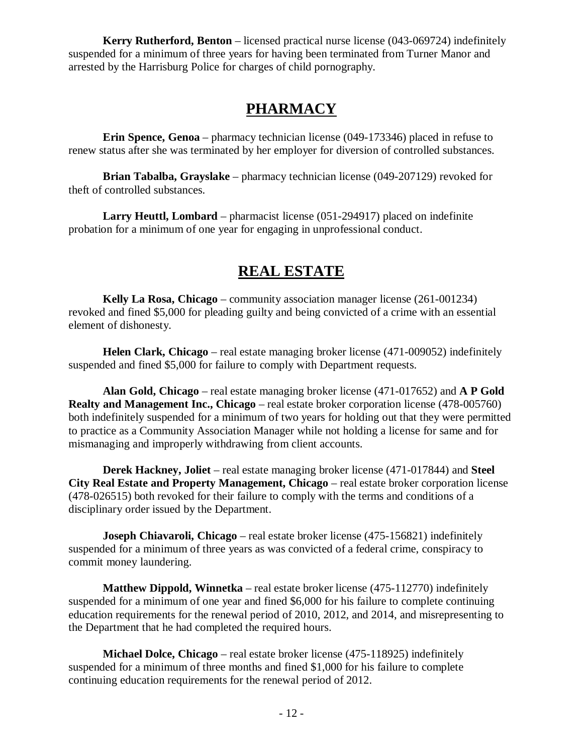**Kerry Rutherford, Benton** – licensed practical nurse license (043-069724) indefinitely suspended for a minimum of three years for having been terminated from Turner Manor and arrested by the Harrisburg Police for charges of child pornography.

## **PHARMACY**

**Erin Spence, Genoa** – pharmacy technician license (049-173346) placed in refuse to renew status after she was terminated by her employer for diversion of controlled substances.

**Brian Tabalba, Grayslake** – pharmacy technician license (049-207129) revoked for theft of controlled substances.

**Larry Heuttl, Lombard** – pharmacist license (051-294917) placed on indefinite probation for a minimum of one year for engaging in unprofessional conduct.

## **REAL ESTATE**

**Kelly La Rosa, Chicago** – community association manager license (261-001234) revoked and fined \$5,000 for pleading guilty and being convicted of a crime with an essential element of dishonesty.

**Helen Clark, Chicago** – real estate managing broker license (471-009052) indefinitely suspended and fined \$5,000 for failure to comply with Department requests.

**Alan Gold, Chicago** – real estate managing broker license (471-017652) and **A P Gold Realty and Management Inc., Chicago** – real estate broker corporation license (478-005760) both indefinitely suspended for a minimum of two years for holding out that they were permitted to practice as a Community Association Manager while not holding a license for same and for mismanaging and improperly withdrawing from client accounts.

**Derek Hackney, Joliet** – real estate managing broker license (471-017844) and **Steel City Real Estate and Property Management, Chicago** – real estate broker corporation license (478-026515) both revoked for their failure to comply with the terms and conditions of a disciplinary order issued by the Department.

**Joseph Chiavaroli, Chicago** – real estate broker license (475-156821) indefinitely suspended for a minimum of three years as was convicted of a federal crime, conspiracy to commit money laundering.

**Matthew Dippold, Winnetka** – real estate broker license (475-112770) indefinitely suspended for a minimum of one year and fined \$6,000 for his failure to complete continuing education requirements for the renewal period of 2010, 2012, and 2014, and misrepresenting to the Department that he had completed the required hours.

**Michael Dolce, Chicago** – real estate broker license (475-118925) indefinitely suspended for a minimum of three months and fined \$1,000 for his failure to complete continuing education requirements for the renewal period of 2012.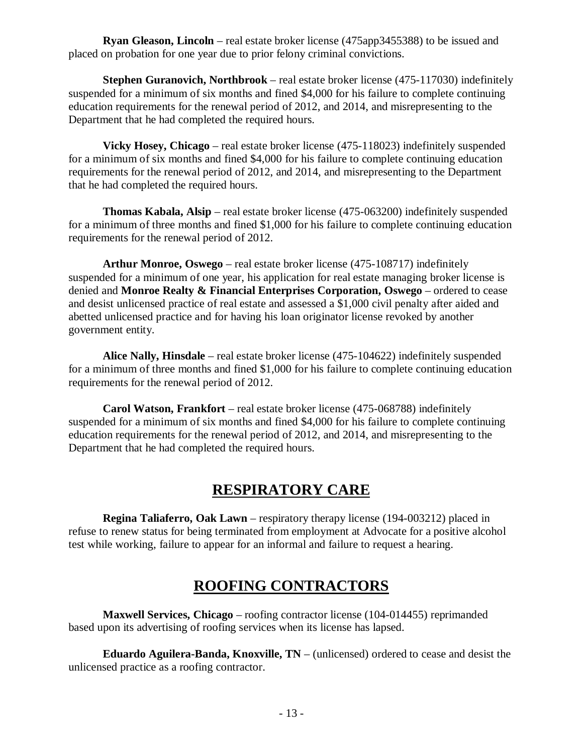**Ryan Gleason, Lincoln** – real estate broker license (475app3455388) to be issued and placed on probation for one year due to prior felony criminal convictions.

**Stephen Guranovich, Northbrook** – real estate broker license (475-117030) indefinitely suspended for a minimum of six months and fined \$4,000 for his failure to complete continuing education requirements for the renewal period of 2012, and 2014, and misrepresenting to the Department that he had completed the required hours.

**Vicky Hosey, Chicago** – real estate broker license (475-118023) indefinitely suspended for a minimum of six months and fined \$4,000 for his failure to complete continuing education requirements for the renewal period of 2012, and 2014, and misrepresenting to the Department that he had completed the required hours.

**Thomas Kabala, Alsip** – real estate broker license (475-063200) indefinitely suspended for a minimum of three months and fined \$1,000 for his failure to complete continuing education requirements for the renewal period of 2012.

**Arthur Monroe, Oswego** – real estate broker license (475-108717) indefinitely suspended for a minimum of one year, his application for real estate managing broker license is denied and **Monroe Realty & Financial Enterprises Corporation, Oswego** – ordered to cease and desist unlicensed practice of real estate and assessed a \$1,000 civil penalty after aided and abetted unlicensed practice and for having his loan originator license revoked by another government entity.

**Alice Nally, Hinsdale** – real estate broker license (475-104622) indefinitely suspended for a minimum of three months and fined \$1,000 for his failure to complete continuing education requirements for the renewal period of 2012.

**Carol Watson, Frankfort** – real estate broker license (475-068788) indefinitely suspended for a minimum of six months and fined \$4,000 for his failure to complete continuing education requirements for the renewal period of 2012, and 2014, and misrepresenting to the Department that he had completed the required hours.

## **RESPIRATORY CARE**

**Regina Taliaferro, Oak Lawn** – respiratory therapy license (194-003212) placed in refuse to renew status for being terminated from employment at Advocate for a positive alcohol test while working, failure to appear for an informal and failure to request a hearing.

## **ROOFING CONTRACTORS**

**Maxwell Services, Chicago** – roofing contractor license (104-014455) reprimanded based upon its advertising of roofing services when its license has lapsed.

**Eduardo Aguilera-Banda, Knoxville, TN** – (unlicensed) ordered to cease and desist the unlicensed practice as a roofing contractor.